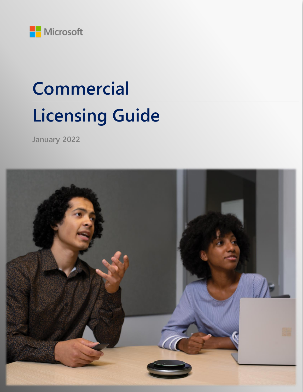

# **Commercial Licensing Guide**

**January 2022**

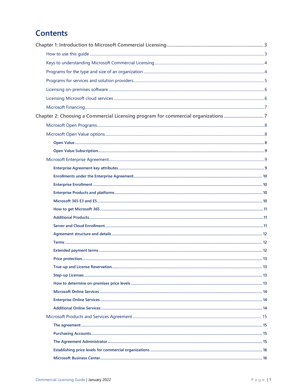# **Contents**

| Chapter 2: Choosing a Commercial Licensing program for commercial organizations |  |
|---------------------------------------------------------------------------------|--|
|                                                                                 |  |
|                                                                                 |  |
|                                                                                 |  |
|                                                                                 |  |
|                                                                                 |  |
|                                                                                 |  |
|                                                                                 |  |
|                                                                                 |  |
|                                                                                 |  |
|                                                                                 |  |
|                                                                                 |  |
|                                                                                 |  |
|                                                                                 |  |
|                                                                                 |  |
|                                                                                 |  |
|                                                                                 |  |
|                                                                                 |  |
|                                                                                 |  |
|                                                                                 |  |
|                                                                                 |  |
|                                                                                 |  |
|                                                                                 |  |
|                                                                                 |  |
|                                                                                 |  |
|                                                                                 |  |
|                                                                                 |  |
|                                                                                 |  |
|                                                                                 |  |
|                                                                                 |  |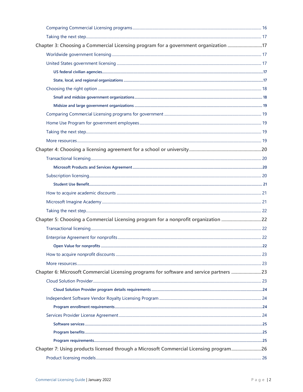| Chapter 3: Choosing a Commercial Licensing program for a government organization 17     |  |
|-----------------------------------------------------------------------------------------|--|
|                                                                                         |  |
|                                                                                         |  |
|                                                                                         |  |
|                                                                                         |  |
|                                                                                         |  |
|                                                                                         |  |
|                                                                                         |  |
|                                                                                         |  |
|                                                                                         |  |
|                                                                                         |  |
|                                                                                         |  |
|                                                                                         |  |
|                                                                                         |  |
|                                                                                         |  |
|                                                                                         |  |
|                                                                                         |  |
|                                                                                         |  |
|                                                                                         |  |
|                                                                                         |  |
| Chapter 5: Choosing a Commercial Licensing program for a nonprofit organization 22      |  |
|                                                                                         |  |
|                                                                                         |  |
|                                                                                         |  |
|                                                                                         |  |
|                                                                                         |  |
| Chapter 6: Microsoft Commercial Licensing programs for software and service partners 23 |  |
|                                                                                         |  |
|                                                                                         |  |
|                                                                                         |  |
|                                                                                         |  |
|                                                                                         |  |
|                                                                                         |  |
|                                                                                         |  |
|                                                                                         |  |
| Chapter 7: Using products licensed through a Microsoft Commercial Licensing program26   |  |
|                                                                                         |  |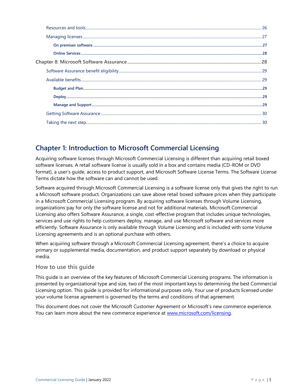# <span id="page-3-0"></span>**Chapter 1: Introduction to Microsoft Commercial Licensing**

Acquiring software licenses through Microsoft Commercial Licensing is different than acquiring retail boxed software licenses. A retail software license is usually sold in a box and contains media (CD-ROM or DVD format), a user's guide, access to product support, and Microsoft Software License Terms. The Software License Terms dictate how the software can and cannot be used.

Software acquired through Microsoft Commercial Licensing is a software license only that gives the right to run a Microsoft software product. Organizations can save above retail boxed software prices when they participate in a Microsoft Commercial Licensing program. By acquiring software licenses through Volume Licensing, organizations pay for only the software license and not for additional materials. Microsoft Commercial Licensing also offers Software Assurance, a single, cost-effective program that includes unique technologies, services and use rights to help customers deploy, manage, and use Microsoft software and services more efficiently. Software Assurance is only available through Volume Licensing and is included with some Volume Licensing agreements and is an optional purchase with others.

When acquiring software through a Microsoft Commercial Licensing agreement, there's a choice to acquire primary or supplemental media, documentation, and product support separately by download or physical media.

# <span id="page-3-1"></span>**How to use this guide**

This guide is an overview of the key features of Microsoft Commercial Licensing programs. The information is presented by organizational type and size, two of the most important keys to determining the best Commercial Licensing option. This guide is provided for informational purposes only. Your use of products licensed under your volume license agreement is governed by the terms and conditions of that agreement.

This document does not cover the Microsoft Customer Agreement or Microsoft's new commerce experience. You can learn more about the new commerce experience at [www.microsoft.com/licensing.](https://www.microsoft.com/licensing/news/purchasing_with_the_microsoft_customer_agreement)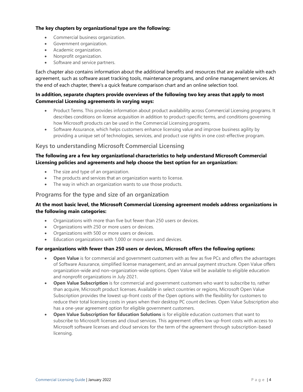#### **The key chapters by organizational type are the following:**

- Commercial business organization.
- Government organization.
- Academic organization.
- Nonprofit organization.
- Software and service partners.

Each chapter also contains information about the additional benefits and resources that are available with each agreement, such as software asset tracking tools, maintenance programs, and online management services. At the end of each chapter, there's a quick feature comparison chart and an online selection tool.

#### **In addition, separate chapters provide overviews of the following two key areas that apply to most Commercial Licensing agreements in varying ways:**

- Product Terms. This provides information about product availability across Commercial Licensing programs. It describes conditions on license acquisition in addition to product-specific terms, and conditions governing how Microsoft products can be used in the Commercial Licensing programs.
- Software Assurance, which helps customers enhance licensing value and improve business agility by providing a unique set of technologies, services, and product use rights in one cost-effective program.

# <span id="page-4-0"></span>**Keys to understanding Microsoft Commercial Licensing**

# **The following are a few key organizational characteristics to help understand Microsoft Commercial Licensing policies and agreements and help choose the best option for an organization:**

- The size and type of an organization.
- The products and services that an organization wants to license.
- The way in which an organization wants to use those products.

#### <span id="page-4-1"></span>**Programs for the type and size of an organization**

## **At the most basic level, the Microsoft Commercial Licensing agreement models address organizations in the following main categories:**

- Organizations with more than five but fewer than 250 users or devices.
- Organizations with 250 or more users or devices.
- Organizations with 500 or more users or devices.
- Education organizations with 1,000 or more users and devices.

#### **For organizations with fewer than 250 users or devices, Microsoft offers the following options:**

- **Open Value** is for commercial and government customers with as few as five PCs and offers the advantages of Software Assurance, simplified license management, and an annual payment structure. Open Value offers organization-wide and non–organization-wide options. Open Value will be available to eligible education and nonprofit organizations in July 2021.
- **Open Value Subscription** is for commercial and government customers who want to subscribe to, rather than acquire, Microsoft product licenses. Available in select countries or regions, Microsoft Open Value Subscription provides the lowest up-front costs of the Open options with the flexibility for customers to reduce their total licensing costs in years when their desktop PC count declines. Open Value Subscription also has a one-year agreement option for eligible government customers.
- **Open Value Subscription for Education Solutions** is for eligible education customers that want to subscribe to Microsoft licenses and cloud services. This agreement offers low up-front costs with access to Microsoft software licenses and cloud services for the term of the agreement through subscription-based licensing.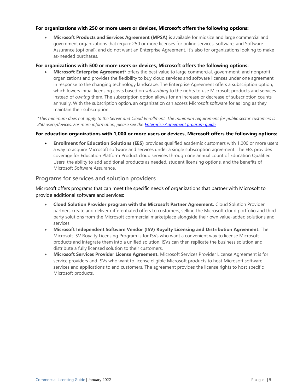#### **For organizations with 250 or more users or devices, Microsoft offers the following options:**

• **Microsoft Products and Services Agreement (MPSA)** is available for midsize and large commercial and government organizations that require 250 or more licenses for online services, software, and Software Assurance (optional), and do not want an Enterprise Agreement. It's also for organizations looking to make as-needed purchases.

#### **For organizations with 500 or more users or devices, Microsoft offers the following options:**

• **Microsoft Enterprise Agreement**\* offers the best value to large commercial, government, and nonprofit organizations and provides the flexibility to buy cloud services and software licenses under one agreement in response to the changing technology landscape. The Enterprise Agreement offers a subscription option, which lowers initial licensing costs based on *subscribing* to the rights to use Microsoft products and services instead of *owning* them. The subscription option allows for an increase or decrease of subscription counts annually. With the subscription option, an organization can access Microsoft software for as long as they maintain their subscription.

*\*This minimum does not apply to the Server and Cloud Enrollment. The minimum requirement for public sector customers is 250 users/devices. For more information, please see the [Enterprise Agreement program guide.](https://download.microsoft.com/download/8/9/A/89A3F8B9-94DE-4956-A56E-F6D2B215D0E6/Enterprise_Agreement_Program_Guide.pdf)* 

#### **For education organizations with 1,000 or more users or devices, Microsoft offers the following options:**

• **Enrollment for Education Solutions (EES)** provides qualified academic customers with 1,000 or more users a way to acquire Microsoft software and services under a single subscription agreement. The EES provides coverage for Education Platform Product cloud services through one annual count of Education Qualified Users, the ability to add additional products as needed, student licensing options, and the benefits of Microsoft Software Assurance.

# <span id="page-5-0"></span>**Programs for services and solution providers**

Microsoft offers programs that can meet the specific needs of organizations that partner with Microsoft to provide additional software and services:

- **Cloud Solution Provider program with the Microsoft Partner Agreement.** Cloud Solution Provider partners create and deliver differentiated offers to customers, selling the Microsoft cloud portfolio and thirdparty solutions from the Microsoft commercial marketplace alongside their own value-added solutions and services.
- **Microsoft Independent Software Vendor (ISV) Royalty Licensing and Distribution Agreement.** The Microsoft ISV Royalty Licensing Program is for ISVs who want a convenient way to license Microsoft products and integrate them into a unified solution. ISVs can then replicate the business solution and distribute a fully licensed solution to their customers.
- **Microsoft Services Provider License Agreement.** Microsoft Services Provider License Agreement is for service providers and ISVs who want to license eligible Microsoft products to host Microsoft software services and applications to end customers. The agreement provides the license rights to host specific Microsoft products.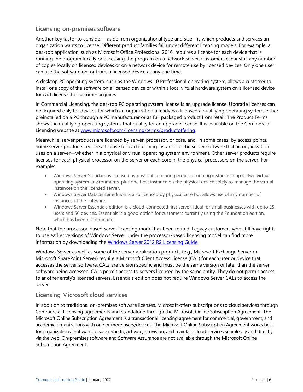# <span id="page-6-0"></span>**Licensing on-premises software**

Another key factor to consider—aside from organizational type and size—is which products and services an organization wants to license. Different product families fall under different licensing models. For example, a desktop application, such as Microsoft Office Professional 2016, requires a license for each device that is running the program locally or accessing the program on a network server. Customers can install any number of copies locally on licensed devices or on a network device for remote use by licensed devices. Only one user can use the software on, or from, a licensed device at any one time.

A desktop PC operating system, such as the Windows 10 Professional operating system, allows a customer to install one copy of the software on a licensed device or within a local virtual hardware system on a licensed device for each license the customer acquires.

In Commercial Licensing, the desktop PC operating system license is an upgrade license. Upgrade licenses can be acquired only for devices for which an organization already has licensed a qualifying operating system, either preinstalled on a PC through a PC manufacturer or as full packaged product from retail. The Product Terms shows the qualifying operating systems that qualify for an upgrade license. It is available on the Commercial Licensing website at [www.microsoft.com/licensing/terms/productoffering.](https://www.microsoft.com/licensing/terms/productoffering)

Meanwhile, server products are licensed by server, processor, or core, and, in some cases, by access points. Some server products require a license for each running instance of the server software that an organization uses on a server—whether in a physical or virtual operating system environment. Other server products require licenses for each physical processor on the server or each core in the physical processors on the server. For example:

- Windows Server Standard is licensed by physical core and permits a running instance in up to two virtual operating system environments, plus one host instance on the physical device solely to manage the virtual instances on the licensed server.
- Windows Server Datacenter edition is also licensed by physical core but allows use of any number of instances of the software.
- Windows Server Essentials edition is a cloud-connected first server, ideal for small businesses with up to 25 users and 50 devices. Essentials is a good option for customers currently using the Foundation edition, which has been discontinued.

Note that the processor-based server licensing model has been retired. Legacy customers who still have rights to use earlier versions of Windows Server under the processor-based licensing model can find more information by downloading the [Windows Server 2012 R2 Licensing Guide.](https://download.microsoft.com/download/E/6/4/E64F72BF-55E9-4D85-9EFE-39605D7CE272/WindowsServer2012R2_Licensing_Guide.pdf)

Windows Server as well as some of the server application products (e.g., Microsoft Exchange Server or Microsoft SharePoint Server) require a Microsoft Client Access License (CAL) for each user or device that accesses the server software. CALs are version specific and must be the same version or later than the server software being accessed. CALs permit access to servers licensed by the same entity. They do not permit access to another entity's licensed servers. Essentials edition does not require Windows Server CALs to access the server.

# <span id="page-6-1"></span>**Licensing Microsoft cloud services**

In addition to traditional on-premises software licenses, Microsoft offers subscriptions to cloud services through Commercial Licensing agreements and standalone through the Microsoft Online Subscription Agreement. The Microsoft Online Subscription Agreement is a transactional licensing agreement for commercial, government, and academic organizations with one or more users/devices. The Microsoft Online Subscription Agreement works best for organizations that want to subscribe to, activate, provision, and maintain cloud services seamlessly and directly via the web. On-premises software and Software Assurance are not available through the Microsoft Online Subscription Agreement.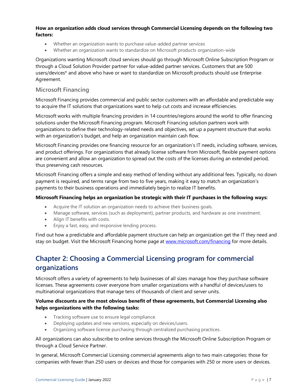#### **How an organization adds cloud services through Commercial Licensing depends on the following two factors:**

- Whether an organization wants to purchase value-added partner services
- Whether an organization wants to standardize on Microsoft products organization-wide

Organizations wanting Microsoft cloud services should go through Microsoft Online Subscription Program or through a Cloud Solution Provider partner for value-added partner services. Customers that are 500 users/devices\* and above who have or want to standardize on Microsoft products should use Enterprise Agreement.

# <span id="page-7-0"></span>**Microsoft Financing**

Microsoft Financing provides commercial and public sector customers with an affordable and predictable way to acquire the IT solutions that organizations want to help cut costs and increase efficiencies.

Microsoft works with multiple financing providers in 14 countries/regions around the world to offer financing solutions under the Microsoft Financing program. Microsoft Financing solution partners work with organizations to define their technology-related needs and objectives, set up a payment structure that works with an organization's budget, and help an organization maintain cash flow.

Microsoft Financing provides one financing resource for an organization's IT needs, including software, services, and product offerings. For organizations that already license software from Microsoft, flexible payment options are convenient and allow an organization to spread out the costs of the licenses during an extended period, thus preserving cash resources.

Microsoft Financing offers a simple and easy method of lending without any additional fees. Typically, no down payment is required, and terms range from two to five years, making it easy to match an organization's payments to their business operations and immediately begin to realize IT benefits.

#### **Microsoft Financing helps an organization be strategic with their IT purchases in the following ways:**

- Acquire the IT solution an organization needs to achieve their business goals.
- Manage software, services (such as deployment), partner products, and hardware as one investment.
- Align IT benefits with costs.
- Enjoy a fast, easy, and responsive lending process.

Find out how a predictable and affordable payment structure can help an organization get the IT they need and stay on budget. Visit the Microsoft Financing home page at [www.microsoft.com/financing](https://www.microsoft.com/licensing/how-to-buy/financing) for more details.

# <span id="page-7-1"></span>**Chapter 2: Choosing a Commercial Licensing program for commercial organizations**

Microsoft offers a variety of agreements to help businesses of all sizes manage how they purchase software licenses. These agreements cover everyone from smaller organizations with a handful of devices/users to multinational organizations that manage tens of thousands of client and server units.

# **Volume discounts are the most obvious benefit of these agreements, but Commercial Licensing also helps organizations with the following tasks:**

- Tracking software use to ensure legal compliance.
- Deploying updates and new versions, especially on devices/users.
- Organizing software license purchasing through centralized purchasing practices.

All organizations can also subscribe to online services through the Microsoft Online Subscription Program or through a Cloud Service Partner.

In general, Microsoft Commercial Licensing commercial agreements align to two main categories: those for companies with fewer than 250 users or devices and those for companies with 250 or more users or devices.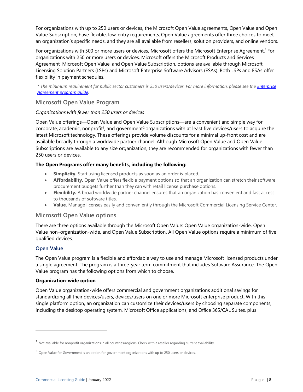For organizations with up to 250 users or devices, the Microsoft Open Value agreements, Open Value and Open Value Subscription, have flexible, low-entry requirements. Open Value agreements offer three choices to meet an organization's specific needs, and they are all available from resellers, solution providers, and online vendors.

For organizations with 500 or more users or devices, Microsoft offers the Microsoft Enterprise Agreement.\* For organizations with 250 or more users or devices, Microsoft offers the Microsoft Products and Services Agreement, Microsoft Open Value, and Open Value Subscription. options are available through Microsoft Licensing Solution Partners (LSPs) and Microsoft Enterprise Software Advisors (ESAs). Both LSPs and ESAs offer flexibility in payment schedules.

*\* The minimum requirement for public sector customers is 250 users/devices. For more information, please see th[e Enterprise](https://download.microsoft.com/download/8/9/A/89A3F8B9-94DE-4956-A56E-F6D2B215D0E6/Enterprise_Agreement_Program_Guide.pdf)  [Agreement program guide.](https://download.microsoft.com/download/8/9/A/89A3F8B9-94DE-4956-A56E-F6D2B215D0E6/Enterprise_Agreement_Program_Guide.pdf)*

# <span id="page-8-0"></span>**Microsoft Open Value Program**

# *Organizations with fewer than 250 users or devices*

Open Value offerings—Open Value and Open Value Subscriptions—are a convenient and simple way for corporate, academic, nonprofit<sup>1</sup>, and government<sup>2</sup> organizations with at least five devices/users to acquire the latest Microsoft technology. These offerings provide volume discounts for a minimal up-front cost and are available broadly through a worldwide partner channel. Although Microsoft Open Value and Open Value Subscriptions are available to any size organization, they are recommended for organizations with fewer than 250 users or devices.

# **The Open Programs offer many benefits, including the following:**

- **Simplicity.** Start using licensed products as soon as an order is placed.
- **Affordability.** Open Value offers flexible payment options so that an organization can stretch their software procurement budgets further than they can with retail license purchase options.
- **Flexibility.** A broad worldwide partner channel ensures that an organization has convenient and fast access to thousands of software titles.
- **Value.** Manage licenses easily and conveniently through the Microsoft Commercial Licensing Service Center.

# <span id="page-8-1"></span>**Microsoft Open Value options**

There are three options available through the Microsoft Open Value: Open Value organization-wide, Open Value non–organization-wide, and Open Value Subscription. All Open Value options require a minimum of five qualified devices.

# <span id="page-8-2"></span>**Open Value**

The Open Value program is a flexible and affordable way to use and manage Microsoft licensed products under a single agreement. The program is a three-year term commitment that includes Software Assurance. The Open Value program has the following options from which to choose.

#### **Organization-wide option**

Open Value organization-wide offers commercial and government organizations additional savings for standardizing all their devices/users, devices/users on one or more Microsoft enterprise product. With this single platform option, an organization can customize their devices/users by choosing separate components, including the desktop operating system, Microsoft Office applications, and Office 365/CAL Suites, plus

<sup>1</sup> Not available for nonprofit organizations in all countries/regions. Check with <sup>a</sup> reseller regarding current availability.

<sup>2</sup> Open Value for Government is an option for government organizations with up to 250 users or devices.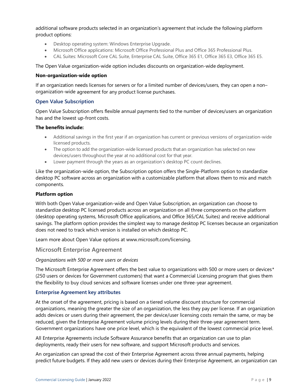additional software products selected in an organization's agreement that include the following platform product options:

- Desktop operating system: Windows Enterprise Upgrade.
- Microsoft Office applications: Microsoft Office Professional Plus and Office 365 Professional Plus.
- CAL Suites: Microsoft Core CAL Suite, Enterprise CAL Suite, Office 365 E1, Office 365 E3, Office 365 E5.

The Open Value organization-wide option includes discounts on organization-wide deployment.

#### **Non-organization-wide option**

If an organization needs licenses for servers or for a limited number of devices/users, they can open a non– organization-wide agreement for any product license purchases.

#### <span id="page-9-0"></span>**Open Value Subscription**

Open Value Subscription offers flexible annual payments tied to the number of devices/users an organization has and the lowest up-front costs.

#### **The benefits include:**

- Additional savings in the first year if an organization has current or previous versions of organization-wide licensed products.
- The option to add the organization-wide licensed products that an organization has selected on new devices/users throughout the year at no additional cost for that year.
- Lower payment through the years as an organization's desktop PC count declines.

Like the organization-wide option, the Subscription option offers the Single-Platform option to standardize desktop PC software across an organization with a customizable platform that allows them to mix and match components.

#### **Platform option**

With both Open Value organization-wide and Open Value Subscription, an organization can choose to standardize desktop PC licensed products across an organization on all three components on the platform (desktop operating systems, Microsoft Office applications, and Office 365/CAL Suites) and receive additional savings. The platform option provides the simplest way to manage desktop PC licenses because an organization does not need to track which version is installed on which desktop PC.

Learn more about Open Value options at [www.microsoft.com/licensing.](http://www.microsoft.com/licensing/licensing-programs/open-license.aspx) 

#### <span id="page-9-1"></span>**Microsoft Enterprise Agreement**

#### *Organizations with 500 or more users or devices*

The Microsoft Enterprise Agreement offers the best value to organizations with 500 or more users or devices*\** (250 users or devices for Government customers) that want a Commercial Licensing program that gives them the flexibility to buy cloud services and software licenses under one three-year agreement.

#### <span id="page-9-2"></span>**Enterprise Agreement key attributes**

At the onset of the agreement, pricing is based on a tiered volume discount structure for commercial organizations, meaning the greater the size of an organization, the less they pay per license. If an organization adds devices or users during their agreement, the per device/user licensing costs remain the same, or may be reduced, given the Enterprise Agreement volume pricing levels during their three-year agreement term. Government organizations have one price level, which is the equivalent of the lowest commercial price level.

All Enterprise Agreements include Software Assurance benefits that an organization can use to plan deployments, ready their users for new software, and support Microsoft products and services.

An organization can spread the cost of their Enterprise Agreement across three annual payments, helping predict future budgets. If they add new users or devices during their Enterprise Agreement, an organization can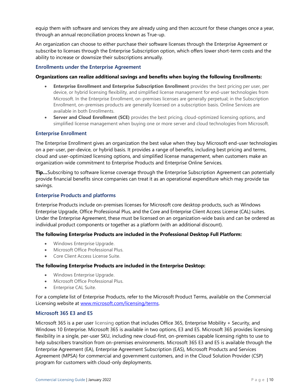equip them with software and services they are already using and then account for these changes once a year, through an annual reconciliation process known as True-up.

An organization can choose to either purchase their software licenses through the Enterprise Agreement or subscribe to licenses through the Enterprise Subscription option, which offers lower short-term costs and the ability to increase or downsize their subscriptions annually.

#### <span id="page-10-0"></span>**Enrollments under the Enterprise Agreement**

#### **Organizations can realize additional savings and benefits when buying the following Enrollments:**

- **Enterprise Enrollment and Enterprise Subscription Enrollment** provides the best pricing per user, per device, or hybrid licensing flexibility, and simplified license management for end-user technologies from Microsoft. In the Enterprise Enrollment, on-premises licenses are generally perpetual; in the Subscription Enrollment, on-premises products are generally licensed on a subscription basis. Online Services are available in both Enrollments.
- **Server and Cloud Enrollment (SCE)** provides the best pricing, cloud-optimized licensing options, and simplified license management when buying one or more server and cloud technologies from Microsoft.

#### <span id="page-10-1"></span>**Enterprise Enrollment**

The Enterprise Enrollment gives an organization the best value when they buy Microsoft end-user technologies on a per-user, per-device, or hybrid basis. It provides a range of benefits, including best pricing and terms, cloud and user-optimized licensing options, and simplified license management, when customers make an organization-wide commitment to Enterprise Products and Enterprise Online Services.

**Tip…**Subscribing to software license coverage through the Enterprise Subscription Agreement can potentially provide financial benefits since companies can treat it as an operational expenditure which may provide tax savings.

## <span id="page-10-2"></span>**Enterprise Products and platforms**

Enterprise Products include on-premises licenses for Microsoft core desktop products, such as Windows Enterprise Upgrade, Office Professional Plus, and the Core and Enterprise Client Access License (CAL) suites. Under the Enterprise Agreement, these must be licensed on an organization-wide basis and can be ordered as individual product components or together as a platform (with an additional discount).

#### **The following Enterprise Products are included in the Professional Desktop Full Platform:**

- Windows Enterprise Upgrade.
- Microsoft Office Professional Plus.
- Core Client Access License Suite.

#### **The following Enterprise Products are included in the Enterprise Desktop:**

- Windows Enterprise Upgrade.
- Microsoft Office Professional Plus.
- Enterprise CAL Suite.

For a complete list of Enterprise Products, refer to the Microsoft Product Terms, available on the Commercial Licensing website at [www.microsoft.com/licensing/terms.](https://www.microsoft.com/licensing/terms)

#### <span id="page-10-3"></span>**Microsoft 365 E3 and E5**

Microsoft 365 is a per user licensing option that includes Office 365, Enterprise Mobility + Security, and Windows 10 Enterprise. Microsoft 365 is available in two options, E3 and E5. Microsoft 365 provides licensing flexibility in a single, per-user SKU, including new cloud-first, on-premises capable licensing rights to use to help subscribers transition from on-premises environments. Microsoft 365 E3 and E5 is available through the Enterprise Agreement (EA), Enterprise Agreement Subscription (EAS), Microsoft Products and Services Agreement (MPSA) for commercial and government customers, and in the Cloud Solution Provider (CSP) program for customers with cloud-only deployments.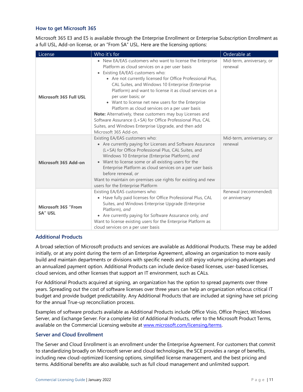# <span id="page-11-0"></span>**How to get Microsoft 365**

Microsoft 365 E3 and E5 is available through the Enterprise Enrollment or Enterprise Subscription Enrollment as a full USL, Add-on license, or an "From SA" USL. Here are the licensing options:

| License                        | Who it's for                                                                                                                                                                                                                                                                                                                                                                                                                                                                                                                                                                                                                                                             | Orderable at                            |
|--------------------------------|--------------------------------------------------------------------------------------------------------------------------------------------------------------------------------------------------------------------------------------------------------------------------------------------------------------------------------------------------------------------------------------------------------------------------------------------------------------------------------------------------------------------------------------------------------------------------------------------------------------------------------------------------------------------------|-----------------------------------------|
| <b>Microsoft 365 Full USL</b>  | • New EA/EAS customers who want to license the Enterprise<br>Platform as cloud services on a per user basis<br>• Existing EA/EAS customers who:<br>• Are not currently licensed for Office Professional Plus,<br>CAL Suites, and Windows 10 Enterprise (Enterprise<br>Platform) and want to license it as cloud services on a<br>per user basis; or<br>• Want to license net new users for the Enterprise<br>Platform as cloud services on a per user basis<br>Note: Alternatively, these customers may buy Licenses and<br>Software Assurance (L+SA) for Office Professional Plus, CAL<br>Suites, and Windows Enterprise Upgrade, and then add<br>Microsoft 365 Add-on. | Mid-term, anniversary, or<br>renewal    |
| Microsoft 365 Add-on           | Existing EA/EAS customers who:<br>• Are currently paying for Licenses and Software Assurance<br>(L+SA) for Office Professional Plus, CAL Suites, and<br>Windows 10 Enterprise (Enterprise Platform), and<br>• Want to license some or all existing users for the<br>Enterprise Platform as cloud services on a per user basis<br>before renewal, or<br>Want to maintain on-premises use rights for existing and new<br>users for the Enterprise Platform                                                                                                                                                                                                                 | Mid-term, anniversary, or<br>renewal    |
| Microsoft 365 "From<br>SA" USL | Existing EA/EAS customers who:<br>• Have fully paid licenses for Office Professional Plus, CAL<br>Suites, and Windows Enterprise Upgrade (Enterprise<br>Platform), and<br>• Are currently paying for Software Assurance only, and<br>Want to license existing users for the Enterprise Platform as<br>cloud services on a per user basis                                                                                                                                                                                                                                                                                                                                 | Renewal (recommended)<br>or anniversary |

#### <span id="page-11-1"></span>**Additional Products**

A broad selection of Microsoft products and services are available as Additional Products. These may be added initially, or at any point during the term of an Enterprise Agreement, allowing an organization to more easily build and maintain departments or divisions with specific needs and still enjoy volume pricing advantages and an annualized payment option. Additional Products can include device-based licenses, user-based licenses, cloud services, and other licenses that support an IT environment, such as CALs.

For Additional Products acquired at signing, an organization has the option to spread payments over three years. Spreading out the cost of software licenses over three years can help an organization refocus critical IT budget and provide budget predictability. Any Additional Products that are included at signing have set pricing for the annual True-up reconciliation process.

Examples of software products available as Additional Products include Office Visio, Office Project, Windows Server, and Exchange Server. For a complete list of Additional Products, refer to the Microsoft Product Terms, available on the Commercial Licensing website at [www.microsoft.com/licensing/terms.](https://www.microsoft.com/licensing/terms)

#### <span id="page-11-2"></span>**Server and Cloud Enrollment**

The Server and Cloud Enrollment is an enrollment under the Enterprise Agreement. For customers that commit to standardizing broadly on Microsoft server and cloud technologies, the SCE provides a range of benefits, including new cloud-optimized licensing options, simplified license management, and the best pricing and terms. Additional benefits are also available, such as full cloud management and unlimited support.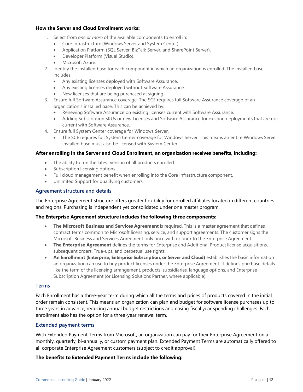#### **How the Server and Cloud Enrollment works:**

- 1. Select from *one or more* of the available components to enroll in:
	- Core Infrastructure (Windows Server and System Center).
	- Application Platform (SQL Server, BizTalk Server, and SharePoint Server).
	- Developer Platform (Visual Studio).
	- Microsoft Azure.
- 2. Identify the installed base for each component in which an organization is enrolled. The installed base includes:
	- Any existing licenses deployed with Software Assurance.
	- Any existing licenses deployed without Software Assurance.
	- New licenses that are being purchased at signing.
- 3. Ensure full Software Assurance coverage. The SCE requires full Software Assurance coverage of an organization's installed base. This can be achieved by:
	- Renewing Software Assurance on existing licenses current with Software Assurance.
	- Adding Subscription SKUs or new Licenses and Software Assurance for existing deployments that are not current with Software Assurance.
- 4. Ensure full System Center coverage for Windows Server.
	- The SCE requires full System Center coverage for Windows Server. This means an entire Windows Server installed base must also be licensed with System Center.

#### **After enrolling in the Server and Cloud Enrollment, an organization receives benefits, including:**

- The ability to run the latest version of all products enrolled.
- Subscription licensing options.
- Full cloud management benefit when enrolling into the Core Infrastructure component.
- Unlimited Support for qualifying customers.

#### <span id="page-12-0"></span>**Agreement structure and details**

The Enterprise Agreement structure offers greater flexibility for enrolled affiliates located in different countries and regions. Purchasing is independent yet consolidated under one master program.

#### **The Enterprise Agreement structure includes the following three components:**

- **The Microsoft Business and Services Agreement** is required. This is a master agreement that defines contract terms common to Microsoft licensing, service, and support agreements. The customer signs the Microsoft Business and Services Agreement only once with or prior to the Enterprise Agreement.
- **The Enterprise Agreement** defines the terms for Enterprise and Additional Product license acquisitions, subsequent orders, True-ups, and perpetual use rights.
- **An Enrollment (Enterprise, Enterprise Subscription, or Server and Cloud)** establishes the basic information an organization can use to buy product licenses under the Enterprise Agreement. It defines purchase details like the term of the licensing arrangement, products, subsidiaries, language options, and Enterprise Subscription Agreement (or Licensing Solutions Partner, where applicable).

#### <span id="page-12-1"></span>**Terms**

Each Enrollment has a three-year term during which all the terms and prices of products covered in the initial order remain consistent. This means an organization can plan and budget for software license purchases up to three years in advance, reducing annual budget restrictions and easing fiscal year spending challenges. Each enrollment also has the option for a three-year renewal term.

#### <span id="page-12-2"></span>**Extended payment terms**

With Extended Payment Terms from Microsoft, an organization can pay for their Enterprise Agreement on a monthly, quarterly, bi-annually, or custom payment plan. Extended Payment Terms are automatically offered to all corporate Enterprise Agreement customers (subject to credit approval).

#### **The benefits to Extended Payment Terms include the following:**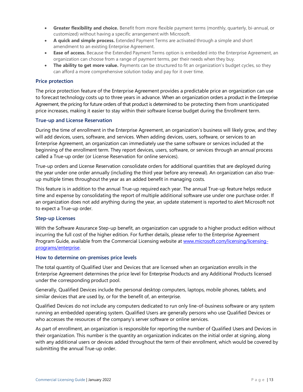- **Greater flexibility and choice.** Benefit from more flexible payment terms (monthly, quarterly, bi-annual, or customized) without having a specific arrangement with Microsoft.
- **A quick and simple process.** Extended Payment Terms are activated through a simple and short amendment to an existing Enterprise Agreement.
- **Ease of access.** Because the Extended Payment Terms option is embedded into the Enterprise Agreement, an organization can choose from a range of payment terms, per their needs when they buy.
- **The ability to get more value.** Payments can be structured to fit an organization's budget cycles, so they can afford a more comprehensive solution today and pay for it over time.

#### <span id="page-13-0"></span>**Price protection**

The price protection feature of the Enterprise Agreement provides a predictable price an organization can use to forecast technology costs up to three years in advance. When an organization orders a product in the Enterprise Agreement, the pricing for future orders of that product is determined to be protecting them from unanticipated price increases, making it easier to stay within their software license budget during the Enrollment term.

#### <span id="page-13-1"></span>**True-up and License Reservation**

During the time of enrollment in the Enterprise Agreement, an organization's business will likely grow, and they will add devices, users, software, and services. When adding devices, users, software, or services to an Enterprise Agreement, an organization can immediately use the same software or services included at the beginning of the enrollment term. They report devices, users, software, or services through an annual process called a True-up order (or License Reservation for online services).

True-up orders and License Reservation consolidate orders for additional quantities that are deployed during the year under one order annually (including the third year before any renewal). An organization can also trueup multiple times throughout the year as an added benefit in managing costs.

This feature is in addition to the annual True-up required each year. The annual True-up feature helps reduce time and expense by consolidating the report of multiple additional software use under one purchase order. If an organization does not add anything during the year, an update statement is reported to alert Microsoft not to expect a True-up order.

#### <span id="page-13-2"></span>**Step-up Licenses**

With the Software Assurance Step-up benefit, an organization can upgrade to a higher product edition without incurring the full cost of the higher edition. For further details, please refer to the Enterprise Agreement Program Guide*,* available from the Commercial Licensing website at [www.microsoft.com/licensing/licensing](https://www.microsoft.com/licensing/licensing-programs/enterprise)[programs/enterprise.](https://www.microsoft.com/licensing/licensing-programs/enterprise)

#### <span id="page-13-3"></span>**How to determine on-premises price levels**

The total quantity of Qualified User and Devices that are licensed when an organization enrolls in the Enterprise Agreement determines the price level for Enterprise Products and any Additional Products licensed under the corresponding product pool.

Generally, Qualified Devices include the personal desktop computers, laptops, mobile phones, tablets, and similar devices that are used by, or for the benefit of, an enterprise.

Qualified Devices do not include any computers dedicated to run only line-of-business software or any system running an embedded operating system. Qualified Users are generally persons who use Qualified Devices or who accesses the resources of the company's server software or online services.

As part of enrollment, an organization is responsible for reporting the number of Qualified Users and Devices in their organization. This number is the quantity an organization indicates on the initial order at signing, along with any additional users or devices added throughout the term of their enrollment, which would be covered by submitting the annual True-up order.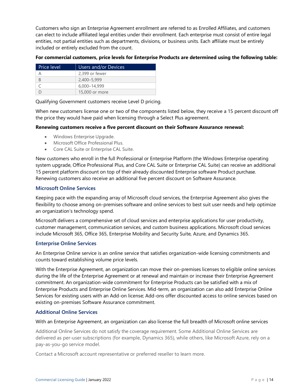Customers who sign an Enterprise Agreement enrollment are referred to as Enrolled Affiliates, and customers can elect to include affiliated legal entities under their enrollment. Each enterprise must consist of entire legal entities, not partial entities such as departments, divisions, or business units. Each affiliate must be entirely included or entirely excluded from the count.

**For commercial customers, price levels for Enterprise Products are determined using the following table:**

| <b>Price level</b> | Users and/or Devices |
|--------------------|----------------------|
|                    | 2.399 or fewer       |
| B                  | 2,400-5,999          |
|                    | 6,000-14,999         |
|                    | 15,000 or more       |

Qualifying Government customers receive Level D pricing.

When new customers license one or two of the components listed below, they receive a 15 percent discount off the price they would have paid when licensing through a Select Plus agreement.

# **Renewing customers receive a five percent discount on their Software Assurance renewal:**

- Windows Enterprise Upgrade.
- Microsoft Office Professional Plus.
- Core CAL Suite or Enterprise CAL Suite.

New customers who enroll in the full Professional or Enterprise Platform (the Windows Enterprise operating system upgrade, Office Professional Plus, and Core CAL Suite or Enterprise CAL Suite) can receive an additional 15 percent platform discount on top of their already discounted Enterprise software Product purchase. Renewing customers also receive an additional five percent discount on Software Assurance.

# <span id="page-14-0"></span>**Microsoft Online Services**

Keeping pace with the expanding array of Microsoft cloud services, the Enterprise Agreement also gives the flexibility to choose among on-premises software and online services to best suit user needs and help optimize an organization's technology spend.

Microsoft delivers a comprehensive set of cloud services and enterprise applications for user productivity, customer management, communication services, and custom business applications. Microsoft cloud services include Microsoft 365, Office 365, Enterprise Mobility and Security Suite, Azure, and Dynamics 365.

# <span id="page-14-1"></span>**Enterprise Online Services**

An Enterprise Online service is an online service that satisfies organization-wide licensing commitments and counts toward establishing volume price levels.

With the Enterprise Agreement, an organization can move their on-premises licenses to eligible online services during the life of the Enterprise Agreement or at renewal and maintain or increase their Enterprise Agreement commitment. An organization-wide commitment for Enterprise Products can be satisfied with a mix of Enterprise Products and Enterprise Online Services. Mid-term, an organization can also add Enterprise Online Services for existing users with an Add-on license; Add-ons offer discounted access to online services based on existing on-premises Software Assurance commitment.

# <span id="page-14-2"></span>**Additional Online Services**

With an Enterprise Agreement, an organization can also license the full breadth of Microsoft online services

Additional Online Services do not satisfy the coverage requirement. Some Additional Online Services are delivered as per-user subscriptions (for example, Dynamics 365), while others, like Microsoft Azure, rely on a pay-as-you-go service model.

Contact a Microsoft account representative or preferred reseller to learn more.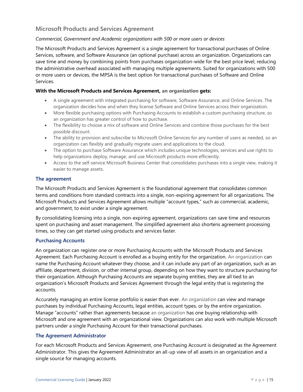# <span id="page-15-0"></span>**Microsoft Products and Services Agreement**

#### *Commercial, Government and Academic organizations with 500 or more users or devices*

The Microsoft Products and Services Agreement is a single agreement for transactional purchases of Online Services, software, and Software Assurance (an optional purchase) across an organization. Organizations can save time and money by combining points from purchases organization-wide for the best price level, reducing the administrative overhead associated with managing multiple agreements. Suited for organizations with 500 or more users or devices, the MPSA is the best option for transactional purchases of Software and Online Services.

#### **With the Microsoft Products and Services Agreement, an organization gets:**

- A single agreement with integrated purchasing for software, Software Assurance, and Online Services. The organization decides how and when they license Software and Online Services across their organization.
- More flexible purchasing options with Purchasing Accounts to establish a custom purchasing structure, so an organization has greater control of how to purchase.
- The flexibility to choose a mix of software and Online Services and combine those purchases for the best possible discount.
- The ability to provision and subscribe to Microsoft Online Services for any number of users as needed, so an organization can flexibly and gradually migrate users and applications to the cloud.
- The option to purchase Software Assurance which includes unique technologies, services and use rights to help organizations deploy, manage, and use Microsoft products more efficiently.
- Access to the self-service Microsoft Business Center that consolidates purchases into a single view, making it easier to manage assets.

#### <span id="page-15-1"></span>**The agreement**

The Microsoft Products and Services Agreement is the foundational agreement that consolidates common terms and conditions from standard contracts into a single, non-expiring agreement for all organizations. The Microsoft Products and Services Agreement allows multiple "account types," such as commercial, academic, and government, to exist under a single agreement.

By consolidating licensing into a single, non-expiring agreement, organizations can save time and resources spent on purchasing and asset management. The simplified agreement also shortens agreement processing times, so they can get started using products and services faster.

#### <span id="page-15-2"></span>**Purchasing Accounts**

An organization can register one or more Purchasing Accounts with the Microsoft Products and Services Agreement. Each Purchasing Account is enrolled as a buying entity for the organization. An organization can name the Purchasing Account whatever they choose, and it can include any part of an organization, such as an affiliate, department, division, or other internal group, depending on how they want to structure purchasing for their organization. Although Purchasing Accounts are separate buying entities, they are all tied to an organization's Microsoft Products and Services Agreement through the legal entity that is registering the accounts.

Accurately managing an entire license portfolio is easier than ever. An organization can view and manage purchases by individual Purchasing Accounts, legal entities, account types, or by the entire organization. Manage "accounts" rather than agreements because an organization has one buying relationship with Microsoft and one agreement with an organizational view. Organizations can also work with multiple Microsoft partners under a single Purchasing Account for their transactional purchases.

#### <span id="page-15-3"></span>**The Agreement Administrator**

For each Microsoft Products and Services Agreement, one Purchasing Account is designated as the Agreement Administrator. This gives the Agreement Administrator an all-up view of all assets in an organization and a single source for managing accounts.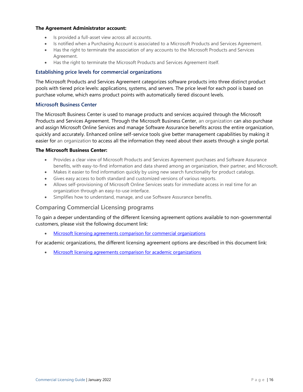#### **The Agreement Administrator account:**

- Is provided a full-asset view across all accounts.
- Is notified when a Purchasing Account is associated to a Microsoft Products and Services Agreement.
- Has the right to terminate the association of any accounts to the Microsoft Products and Services Agreement.
- Has the right to terminate the Microsoft Products and Services Agreement itself.

#### <span id="page-16-0"></span>**Establishing price levels for commercial organizations**

The Microsoft Products and Services Agreement categorizes software products into three distinct product pools with tiered price levels: applications, systems, and servers. The price level for each pool is based on purchase volume, which earns product points with automatically tiered discount levels.

#### <span id="page-16-1"></span>**Microsoft Business Center**

The Microsoft Business Center is used to manage products and services acquired through the Microsoft Products and Services Agreement. Through the Microsoft Business Center, an organization can also purchase and assign Microsoft Online Services and manage Software Assurance benefits across the entire organization, quickly and accurately. Enhanced online self-service tools give better management capabilities by making it easier for an organization to access all the information they need about their assets through a single portal.

#### **The Microsoft Business Center:**

- Provides a clear view of Microsoft Products and Services Agreement purchases and Software Assurance benefits, with easy-to-find information and data shared among an organization, their partner, and Microsoft.
- Makes it easier to find information quickly by using new search functionality for product catalogs.
- Gives easy access to both standard and customized versions of various reports.
- Allows self-provisioning of Microsoft Online Services seats for immediate access in real time for an organization through an easy-to-use interface.
- Simplifies how to understand, manage, and use Software Assurance benefits.

# <span id="page-16-2"></span>**Comparing Commercial Licensing programs**

To gain a deeper understanding of the different licensing agreement options available to non-governmental customers, please visit the following document link:

• [Microsoft licensing agreements comparison for commercial organizations](https://download.microsoft.com/download/1/F/5/1F5357DD-F7C8-4CC8-8C5F-7F6B1569ECF0/Transactional_Licensing_Comparison_Chart.pdf)

For academic organizations, the different licensing agreement options are described in this document link:

• [Microsoft licensing agreements comparison for academic organizations](https://download.microsoft.com/download/3/9/0/39090891-52ff-46ec-aa21-57bbe61981aa/Volume_Licensing_Comparison_Academic_and_Partner.pdf)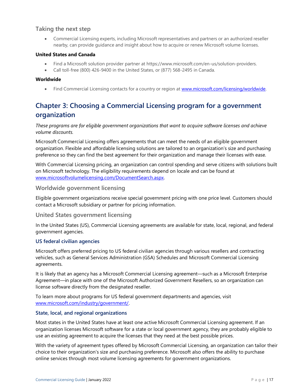# <span id="page-17-0"></span>**Taking the next step**

• Commercial Licensing experts, including Microsoft representatives and partners or an authorized reseller nearby, can provide guidance and insight about how to acquire or renew Microsoft volume licenses.

#### **United States and Canada**

- Find a Microsoft solution provider partner at https://www.microsoft.com/en-us/solution-providers.
- Call toll-free (800) 426-9400 in the United States, or (877) 568-2495 in Canada.

#### **Worldwide**

• Find Commercial Licensing contacts for a country or region at [www.microsoft.com/licensing/worldwide.](https://www.microsoft.com/licensing/worldwide)

# <span id="page-17-1"></span>**Chapter 3: Choosing a Commercial Licensing program for a government organization**

*These programs are for eligible government organizations that want to acquire software licenses and achieve volume discounts.*

Microsoft Commercial Licensing offers agreements that can meet the needs of an eligible government organization. Flexible and affordable licensing solutions are tailored to an organization's size and purchasing preference so they can find the best agreement for their organization and manage their licenses with ease.

With Commercial Licensing pricing, an organization can control spending and serve citizens with solutions built on Microsoft technology. The eligibility requirements depend on locale and can be found at [www.microsoftvolumelicensing.com/DocumentSearch.aspx.](https://www.microsoftvolumelicensing.com/DocumentSearch.aspx)

#### <span id="page-17-2"></span>**Worldwide government licensing**

Eligible government organizations receive special government pricing with one price level. Customers should contact a Microsoft subsidiary or partner for pricing information.

## <span id="page-17-3"></span>**United States government licensing**

In the United States (US), Commercial Licensing agreements are available for state, local, regional, and federal government agencies.

#### <span id="page-17-4"></span>**US federal civilian agencies**

Microsoft offers preferred pricing to US federal civilian agencies through various resellers and contracting vehicles, such as General Services Administration (GSA) Schedules and Microsoft Commercial Licensing agreements.

It is likely that an agency has a Microsoft Commercial Licensing agreement—such as a Microsoft Enterprise Agreement—in place with one of the Microsoft Authorized Government Resellers, so an organization can license software directly from the designated reseller.

To learn more about programs for US federal government departments and agencies, visit [www.microsoft.com/industry/government/.](https://www.microsoft.com/industry/government/)

#### <span id="page-17-5"></span>**State, local, and regional organizations**

Most states in the United States have at least one active Microsoft Commercial Licensing agreement. If an organization licenses Microsoft software for a state or local government agency, they are probably eligible to use an existing agreement to acquire the licenses that they need at the best possible prices.

With the variety of agreement types offered by Microsoft Commercial Licensing, an organization can tailor their choice to their organization's size and purchasing preference. Microsoft also offers the ability to purchase online services through most volume licensing agreements for government organizations.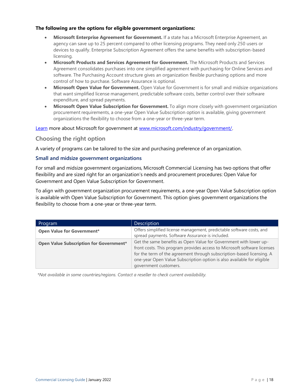#### **The following are the options for eligible government organizations:**

- **Microsoft Enterprise Agreement for Government.** If a state has a Microsoft Enterprise Agreement, an agency can save up to 25 percent compared to other licensing programs. They need only 250 users or devices to qualify. Enterprise Subscription Agreement offers the same benefits with subscription-based licensing.
- **Microsoft Products and Services Agreement for Government.** The Microsoft Products and Services Agreement consolidates purchases into one simplified agreement with purchasing for Online Services and software. The Purchasing Account structure gives an organization flexible purchasing options and more control of how to purchase. Software Assurance is optional.
- **Microsoft Open Value for Government.** Open Value for Government is for small and midsize organizations that want simplified license management, predictable software costs, better control over their software expenditure, and spread payments.
- **Microsoft Open Value Subscription for Government.** To align more closely with government organization procurement requirements, a one-year Open Value Subscription option is available, giving government organizations the flexibility to choose from a one-year or three-year term.

[Learn](https://docs.microsoft.com/learn/) more about Microsoft for government at [www.microsoft.com/industry/government/.](https://www.microsoft.com/industry/government/)

# <span id="page-18-0"></span>**Choosing the right option**

A variety of programs can be tailored to the size and purchasing preference of an organization.

#### <span id="page-18-1"></span>**Small and midsize government organizations**

For small and midsize government organizations, Microsoft Commercial Licensing has two options that offer flexibility and are sized right for an organization's needs and procurement procedures: Open Value for Government and Open Value Subscription for Government.

To align with government organization procurement requirements, a one-year Open Value Subscription option is available with Open Value Subscription for Government. This option gives government organizations the flexibility to choose from a one-year or three-year term.

| Program                                        | <b>Description</b>                                                                                                                                                                                                                                                                                                        |
|------------------------------------------------|---------------------------------------------------------------------------------------------------------------------------------------------------------------------------------------------------------------------------------------------------------------------------------------------------------------------------|
| <b>Open Value for Government*</b>              | Offers simplified license management, predictable software costs, and<br>spread payments. Software Assurance is included.                                                                                                                                                                                                 |
| <b>Open Value Subscription for Government*</b> | Get the same benefits as Open Value for Government with lower up-<br>front costs. This program provides access to Microsoft software licenses<br>for the term of the agreement through subscription-based licensing. A<br>one-year Open Value Subscription option is also available for eligible<br>government customers. |

*\*Not available in some countries/regions. Contact a reseller to check current availability.*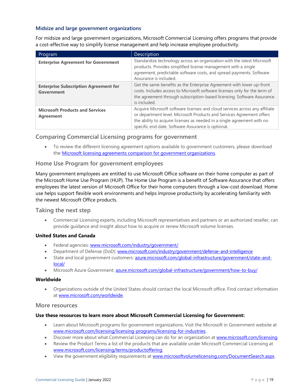# <span id="page-19-0"></span>**Midsize and large government organizations**

For midsize and large government organizations, Microsoft Commercial Licensing offers programs that provide a cost-effective way to simplify license management and help increase employee productivity.

| Program                                                    | <b>Description</b>                                                                                                                                                                                                                                                                    |
|------------------------------------------------------------|---------------------------------------------------------------------------------------------------------------------------------------------------------------------------------------------------------------------------------------------------------------------------------------|
| <b>Enterprise Agreement for Government</b>                 | Standardize technology across an organization with the latest Microsoft<br>products. Provides simplified license management with a single<br>agreement, predictable software costs, and spread payments. Software<br>Assurance is included.                                           |
| <b>Enterprise Subscription Agreement for</b><br>Government | Get the same benefits as the Enterprise Agreement with lower up-front<br>costs. Includes access to Microsoft software licenses only for the term of<br>the agreement through subscription-based licensing. Software Assurance<br>is included.                                         |
| <b>Microsoft Products and Services</b><br><b>Agreement</b> | Acquire Microsoft software licenses and cloud services across any affiliate<br>or department level. Microsoft Products and Services Agreement offers<br>the ability to acquire licenses as needed in a single agreement with no<br>specific end date. Software Assurance is optional. |

# <span id="page-19-1"></span>**Comparing Commercial Licensing programs for government**

• To review the different licensing agreement options available to government customers, please download the [Microsoft licensing agreements comparison for government organizations.](https://download.microsoft.com/download/1/F/5/1F5357DD-F7C8-4CC8-8C5F-7F6B1569ECF0/Transactional_Licensing_Comparison_Chart.pdf)

# <span id="page-19-2"></span>**Home Use Program for government employees**

Many government employees are entitled to use Microsoft Office software on their home computer as part of the Microsoft Home Use Program (HUP). The Home Use Program is a benefit of Software Assurance that offers employees the latest version of Microsoft Office for their home computers through a low-cost download. Home use helps support flexible work environments and helps improve productivity by accelerating familiarity with the newest Microsoft Office products.

#### <span id="page-19-3"></span>**Taking the next step**

• Commercial Licensing experts, including Microsoft representatives and partners or an authorized reseller, can provide guidance and insight about how to acquire or renew Microsoft volume licenses.

#### **United States and Canada**

- Federal agencies: [www.microsoft.com/industry/government/](https://www.microsoft.com/industry/government/)
- Department of Defense (DoD): [www.microsoft.com/industry/government/defense-and-intelligence](https://www.microsoft.com/industry/government/defense-and-intelligence)
- State and local government customers: [azure.microsoft.com/global-infrastructure/government/state-and](https://azure.microsoft.com/global-infrastructure/government/state-and-local/)[local/](https://azure.microsoft.com/global-infrastructure/government/state-and-local/)
- Microsoft Azure Government: [azure.microsoft.com/global-infrastructure/government/how-to-buy/](https://azure.microsoft.com/global-infrastructure/government/how-to-buy/)

#### **Worldwide**

• Organizations outside of the United States should contact the local Microsoft office. Find contact information at [www.microsoft.com/worldwide.](https://www.microsoft.com/worldwide.aspx)

#### <span id="page-19-4"></span>**More resources**

#### **Use these resources to learn more about Microsoft Commercial Licensing for Government:**

- Learn about Microsoft programs for government organizations. Visit the Microsoft in Government website at [www.microsoft.com/licensing/licensing-programs/licensing-for-industries.](https://www.microsoft.com/licensing/licensing-programs/licensing-for-industries)
- Discover more about what Commercial Licensing can do for an organization at [www.microsoft.com/licensing.](https://www.microsoft.com/licensing/default)
- Review the Product Terms a list of the products that are available under Microsoft Commercial Licensing at [www.microsoft.com/licensing/terms/productoffering.](https://www.microsoft.com/licensing/terms/productoffering)
- View the government eligibility requirements a[t www.microsoftvolumelicensing.com/DocumentSearch.aspx.](https://www.microsoftvolumelicensing.com/DocumentSearch.aspx?Mode=3&DocumentTypeId=6)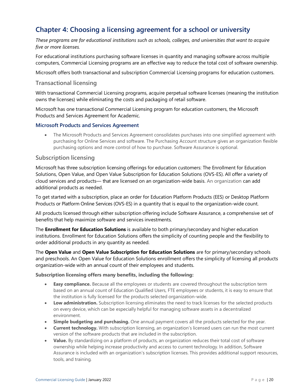# <span id="page-20-0"></span>**Chapter 4: Choosing a licensing agreement for a school or university**

*These programs are for educational institutions such as schools, colleges, and universities that want to acquire five or more licenses.*

For educational institutions purchasing software licenses in quantity and managing software across multiple computers, Commercial Licensing programs are an effective way to reduce the total cost of software ownership.

Microsoft offers both transactional and subscription Commercial Licensing programs for education customers.

## <span id="page-20-1"></span>**Transactional licensing**

With transactional Commercial Licensing programs, acquire perpetual software licenses (meaning the institution owns the licenses) while eliminating the costs and packaging of retail software.

Microsoft has one transactional Commercial Licensing program for education customers, the Microsoft Products and Services Agreement for Academic.

#### <span id="page-20-2"></span>**Microsoft Products and Services Agreement**

• The Microsoft Products and Services Agreement consolidates purchases into one simplified agreement with purchasing for Online Services and software. The Purchasing Account structure gives an organization flexible purchasing options and more control of how to purchase. Software Assurance is optional.

#### <span id="page-20-3"></span>**Subscription licensing**

Microsoft has three subscription licensing offerings for education customers: The Enrollment for Education Solutions, Open Value, and Open Value Subscription for Education Solutions (OVS-ES). All offer a variety of cloud services and products— that are licensed on an organization-wide basis. An organization can add additional products as needed.

To get started with a subscription, place an order for Education Platform Products (EES) or Desktop Platform Products or Platform Online Services (OVS-ES) in a quantity that is equal to the organization-wide count.

All products licensed through either subscription offering include Software Assurance, a comprehensive set of benefits that help maximize software and services investments.

The **Enrollment for Education Solutions** is available to both primary/secondary and higher education institutions. Enrollment for Education Solutions offers the simplicity of counting people and the flexibility to order additional products in any quantity as needed.

The **Open Value** and **Open Value Subscription for Education Solutions** are for primary/secondary schools and preschools. An Open Value for Education Solutions enrollment offers the simplicity of licensing all products organization-wide with an annual count of their employees and students.

#### **Subscription licensing offers many benefits, including the following:**

- **Easy compliance.** Because all the employees or students are covered throughout the subscription term based on an annual count of Education Qualified Users, FTE employees or students, it is easy to ensure that the institution is fully licensed for the products selected organization-wide.
- **Low administration.** Subscription licensing eliminates the need to track licenses for the selected products on every device, which can be especially helpful for managing software assets in a decentralized environment.
- **Simple budgeting and purchasing.** One annual payment covers all the products selected for the year.
- **Current technology.** With subscription licensing, an organization's licensed users can run the most current version of the software products that are included in the subscription.
- **Value.** By standardizing on a platform of products, an organization reduces their total cost of software ownership while helping increase productivity and access to current technology. In addition, Software Assurance is included with an organization's subscription licenses. This provides additional support resources, tools, and training.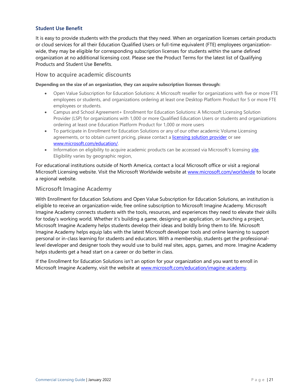# <span id="page-21-0"></span>**Student Use Benefit**

It is easy to provide students with the products that they need. When an organization licenses certain products or cloud services for all their Education Qualified Users or full-time equivalent (FTE) employees organizationwide, they may be eligible for corresponding subscription licenses for students within the same defined organization at no additional licensing cost. Please see the Product Terms for the latest list of Qualifying Products and Student Use Benefits.

## <span id="page-21-1"></span>**How to acquire academic discounts**

#### **Depending on the size of an organization, they can acquire subscription licenses through:**

- Open Value Subscription for Education Solutions: A Microsoft reseller for organizations with five or more FTE employees or students, and organizations ordering at least one Desktop Platform Product for 5 or more FTE employees or students.
- Campus and School Agreement+ Enrollment for Education Solutions: A Microsoft Licensing Solution Provider (LSP) for organizations with 1,000 or more Qualified Education Users or students and organizations ordering at least one Education Platform Product for 1,000 or more users
- To participate in Enrollment for Education Solutions or any of our other academic Volume Licensing agreements, or to obtain current pricing, please contact a [licensing solution provider](https://www.microsoft.com/solution-providers/home) or see [www.microsoft.com/education/.](https://www.microsoft.com/education/how-to-buy)
- Information on eligibility to acquire academic products can be accessed via Microsoft's licensing [site.](https://www.microsoftvolumelicensing.com/DocumentSearch.aspx?Mode=3&DocumentTypeId=7) Eligibility varies by geographic region,

For educational institutions outside of North America, contact a local Microsoft office or visit a regional Microsoft Licensing website. Visit the Microsoft Worldwide website at [www.microsoft.com/worldwide](https://www.microsoft.com/worldwide.aspx) to locate a regional website.

# <span id="page-21-2"></span>**Microsoft Imagine Academy**

With Enrollment for Education Solutions and Open Value Subscription for Education Solutions, an institution is eligible to receive an organization-wide, free online subscription to Microsoft Imagine Academy. Microsoft Imagine Academy connects students with the tools, resources, and experiences they need to elevate their skills for today's working world. Whether it's building a game, designing an application, or launching a project, Microsoft Imagine Academy helps students develop their ideas and boldly bring them to life. Microsoft Imagine Academy helps equip labs with the latest Microsoft developer tools and online learning to support personal or in-class learning for students and educators. With a membership, students get the professionallevel developer and designer tools they would use to build real sites, apps, games, and more. Imagine Academy helps students get a head start on a career or do better in class.

If the Enrollment for Education Solutions isn't an option for your organization and you want to enroll in Microsoft Imagine Academy, visit the website at [www.microsoft.com/education/imagine-academy.](https://www.microsoft.com/education/imagine-academy)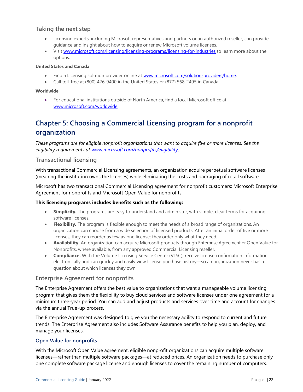# <span id="page-22-0"></span>**Taking the next step**

- Licensing experts, including Microsoft representatives and partners or an authorized reseller, can provide guidance and insight about how to acquire or renew Microsoft volume licenses.
- Visit [www.microsoft.com/licensing/licensing-programs/licensing-for-industries](https://www.microsoft.com/licensing/licensing-programs/licensing-for-industries) to learn more about the options.

#### **United States and Canada**

- Find a Licensing solution provider online at [www.microsoft.com/solution-providers/home.](https://www.microsoft.com/solution-providers/home)
- Call toll-free at (800) 426-9400 in the United States or (877) 568-2495 in Canada.

#### **Worldwide**

• For educational institutions outside of North America, find a local Microsoft office at [www.microsoft.com/worldwide.](https://www.microsoft.com/worldwide.aspx)

# <span id="page-22-1"></span>**Chapter 5: Choosing a Commercial Licensing program for a nonprofit organization**

*These programs are for eligible nonprofit organizations that want to acquire five or more licenses. See the eligibility requirements at [www.microsoft.com/nonprofits/eligibility](https://www.microsoft.com/nonprofits/eligibility)*.

# <span id="page-22-2"></span>**Transactional licensing**

With transactional Commercial Licensing agreements, an organization acquire perpetual software licenses (meaning the institution owns the licenses) while eliminating the costs and packaging of retail software.

Microsoft has two transactional Commercial Licensing agreement for nonprofit customers: Microsoft Enterprise Agreement for nonprofits and Microsoft Open Value for nonprofits.

#### **This licensing programs includes benefits such as the following:**

- **Simplicity.** The programs are easy to understand and administer, with simple, clear terms for acquiring software licenses.
- **Flexibility.** The program is flexible enough to meet the needs of a broad range of organizations. An organization can choose from a wide selection of licensed products. After an initial order of five or more licenses, they can reorder as few as one license: they order only what they need.
- **Availability.** An organization can acquire Microsoft products through Enterprise Agreement or Open Value for Nonprofits, where available, from any approved Commercial Licensing reseller.
- **Compliance.** With the Volume Licensing Service Center (VLSC), receive license confirmation information electronically and can quickly and easily view license purchase history—so an organization never has a question about which licenses they own.

#### <span id="page-22-3"></span>**Enterprise Agreement for nonprofits**

The Enterprise Agreement offers the best value to organizations that want a manageable volume licensing program that gives them the flexibility to buy cloud services and software licenses under one agreement for a minimum three-year period. You can add and adjust products and services over time and account for changes via the annual True-up process.

The Enterprise Agreement was designed to give you the necessary agility to respond to current and future trends. The Enterprise Agreement also includes Software Assurance benefits to help you plan, deploy, and manage your licenses.

# <span id="page-22-4"></span>**Open Value for nonprofits**

With the Microsoft Open Value agreement, eligible nonprofit organizations can acquire multiple software licenses—rather than multiple software packages—at reduced prices. An organization needs to purchase only one complete software package license and enough licenses to cover the remaining number of computers.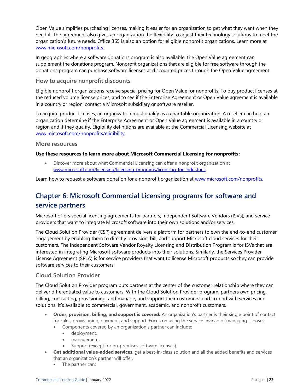Open Value simplifies purchasing licenses, making it easier for an organization to get what they want when they need it. The agreement also gives an organization the flexibility to adjust their technology solutions to meet the organization's future needs. Office 365 is also an option for eligible nonprofit organizations. Learn more at [www.microsoft.com/nonprofits.](https://www.microsoft.com/nonprofits)

In geographies where a software donations program is also available, the Open Value agreement can supplement the donations program. Nonprofit organizations that are eligible for free software through the donations program can purchase software licenses at discounted prices through the Open Value agreement.

# <span id="page-23-0"></span>**How to acquire nonprofit discounts**

Eligible nonprofit organizations receive special pricing for Open Value for nonprofits. To buy product licenses at the reduced volume license prices, and to see if the Enterprise Agreement or Open Value agreement is available in a country or region, contact a Microsoft subsidiary or software reseller.

To acquire product licenses, an organization must qualify as a charitable organization. A reseller can help an organization determine if the Enterprise Agreement or Open Value agreement is available in a country or region and if they qualify. Eligibility definitions are available at the Commercial Licensing website at [www.microsoft.com/nonprofits/eligibility.](https://www.microsoft.com/nonprofits/eligibility)

#### <span id="page-23-1"></span>**More resources**

#### **Use these resources to learn more about Microsoft Commercial Licensing for nonprofits:**

• Discover more about what Commercial Licensing can offer a nonprofit organization at [www.microsoft.com/licensing/licensing-programs/licensing-for-industries.](https://www.microsoft.com/licensing/licensing-programs/licensing-for-industries)

Learn how to request a software donation for a nonprofit organization a[t www.microsoft.com/nonprofits.](https://www.microsoft.com/nonprofits)

# <span id="page-23-2"></span>**Chapter 6: Microsoft Commercial Licensing programs for software and service partners**

Microsoft offers special licensing agreements for partners, Independent Software Vendors (ISVs), and service providers that want to integrate Microsoft software into their own solutions and/or services.

The Cloud Solution Provider (CSP) agreement delivers a platform for partners to own the end-to-end customer engagement by enabling them to directly provision, bill, and support Microsoft cloud services for their customers. The Independent Software Vendor Royalty Licensing and Distribution Program is for ISVs that are interested in integrating Microsoft software products into their solutions. Similarly, the Services Provider License Agreement (SPLA) is for service providers that want to license Microsoft products so they can provide software services to their customers.

## <span id="page-23-3"></span>**Cloud Solution Provider**

The Cloud Solution Provider program puts partners at the center of the customer relationship where they can deliver differentiated value to customers. With the Cloud Solution Provider program, partners own pricing, billing, contracting, provisioning, and manage, and support their customers' end-to-end with services and solutions. It's available to commercial, government, academic, and nonprofit customers.

- **Order, provision, billing, and support is covered:** An organization's partner is their single point of contact for sales, provisioning, payment, and support. Focus on using the service instead of managing licenses.
	- Components covered by an organization's partner can include:
		- deployment.
		- management.
		- Support (except for on-premises software licenses).
- **Get additional value-added services**: get a best-in-class solution and all the added benefits and services that an organization's partner will offer.
	- The partner can: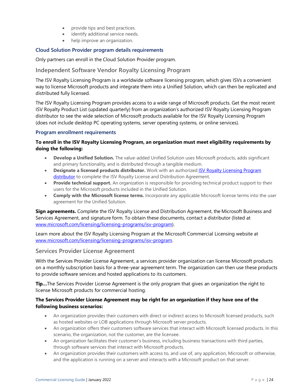- provide tips and best practices.
- identify additional service needs.
- help improve an organization.

## <span id="page-24-0"></span>**Cloud Solution Provider program details requirements**

Only partners can enroll in the Cloud Solution Provider program.

# <span id="page-24-1"></span>**Independent Software Vendor Royalty Licensing Program**

The ISV Royalty Licensing Program is a worldwide software licensing program, which gives ISVs a convenient way to license Microsoft products and integrate them into a Unified Solution, which can then be replicated and distributed fully licensed.

The ISV Royalty Licensing Program provides access to a wide range of Microsoft products. Get the most recent ISV Royalty Product List (updated quarterly) from an organization's authorized ISV Royalty Licensing Program distributor to see the wide selection of Microsoft products available for the ISV Royalty Licensing Program (does not include desktop PC operating systems, server operating systems, or online services).

#### <span id="page-24-2"></span>**Program enrollment requirements**

# **To enroll in the ISV Royalty Licensing Program, an organization must meet eligibility requirements by doing the following:**

- **Develop a Unified Solution.** The value-added Unified Solution uses Microsoft products, adds significant and primary functionality, and is distributed through a tangible medium.
- **Designate a licensed products distributor.** Work with an authorized [ISV Royalty Licensing Program](https://www.microsoft.com/licensing/licensing-programs/isv-program)  [distributor](https://www.microsoft.com/licensing/licensing-programs/isv-program) to complete the ISV Royalty License and Distribution Agreement.
- **Provide technical support.** An organization is responsible for providing technical product support to their users for the Microsoft products included in the Unified Solution.
- **Comply with the Microsoft license terms.** Incorporate any applicable Microsoft license terms into the user agreement for the Unified Solution.

**Sign agreements.** Complete the ISV Royalty License and Distribution Agreement, the Microsoft Business and Services Agreement, and signature form. To obtain these documents, contact a distributor (listed at [www.microsoft.com/licensing/licensing-programs/isv-program\)](https://www.microsoft.com/licensing/licensing-programs/isv-program).

Learn more about the ISV Royalty Licensing Program at the Microsoft Commercial Licensing website at [www.microsoft.com/licensing/licensing-programs/isv-program.](https://www.microsoft.com/licensing/licensing-programs/isv-program)

# <span id="page-24-3"></span>**Services Provider License Agreement**

With the Services Provider License Agreement, a services provider organization can license Microsoft products on a monthly subscription basis for a three-year agreement term. The organization can then use these products to provide software services and hosted applications to its customers.

**Tip…**The Services Provider License Agreement is the only program that gives an organization the right to license Microsoft products for commercial hosting.

# **The Services Provider License Agreement may be right for an organization if they have one of the following business scenarios:**

- An organization provides their customers with direct or indirect access to Microsoft licensed products, such as hosted websites or LOB applications through Microsoft server products.
- An organization offers their customers software services that interact with Microsoft licensed products. In this scenario, the organization, not the customer, are the licensee.
- An organization facilitates their customer's business, including business transactions with third parties, through software services that interact with Microsoft products.
- An organization provides their customers with access to, and use of, any application, Microsoft or otherwise, and the application is running on a server and interacts with a Microsoft product on that server.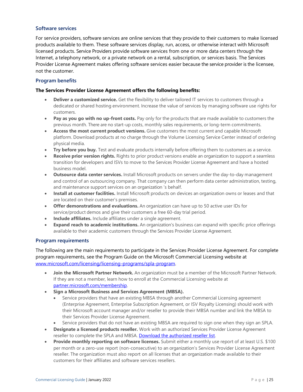#### <span id="page-25-0"></span>**Software services**

For service providers, software services are online services that they provide to their customers to make licensed products available to them. These software services display, run, access, or otherwise interact with Microsoft licensed products. Service Providers provide software services from one or more data centers through the Internet, a telephony network, or a private network on a rental, subscription, or services basis. The Services Provider License Agreement makes offering software services easier because the service provider is the licensee, not the customer.

#### <span id="page-25-1"></span>**Program benefits**

#### **The Services Provider License Agreement offers the following benefits:**

- **Deliver a customized service.** Get the flexibility to deliver tailored IT services to customers through a dedicated or shared hosting environment. Increase the value of services by managing software use rights for customers.
- **Pay as you go with no up-front costs.** Pay only for the products that are made available to customers the previous month. There are no start-up costs, monthly sales requirements, or long-term commitments.
- **Access the most current product versions.** Give customers the most current and capable Microsoft platform. Download products at no charge through the Volume Licensing Service Center instead of ordering physical media.
- **Try before you buy.** Test and evaluate products internally before offering them to customers as a service.
- **Receive prior version rights.** Rights to prior product versions enable an organization to support a seamless transition for developers and ISVs to move to the Services Provider License Agreement and have a hosted business model.
- **Outsource data center services.** Install Microsoft products on servers under the day-to-day management and control of an outsourcing company. That company can then perform data center administration, testing, and maintenance support services on an organization 's behalf.
- **Install at customer facilities.** Install Microsoft products on devices an organization owns or leases and that are located on their customer's premises.
- **Offer demonstrations and evaluations.** An organization can have up to 50 active user IDs for service/product demos and give their customers a free 60-day trial period.
- **Include affiliates.** Include affiliates under a single agreement.
- **Expand reach to academic institutions.** An organization's business can expand with specific price offerings available to their academic customers through the Services Provider License Agreement.

#### <span id="page-25-2"></span>**Program requirements**

The following are the main requirements to participate in the Services Provider License Agreement. For complete program requirements, see the Program Guide on the Microsoft Commercial Licensing website at [www.microsoft.com/licensing/licensing-programs/spla-program.](https://www.microsoft.com/licensing/licensing-programs/spla-program)

- **Join the Microsoft Partner Network.** An organization must be a member of the Microsoft Partner Network. If they are not a member, learn how to enroll at the Commercial Licensing website at [partner.microsoft.com/membership.](https://partner.microsoft.com/membership)
- **Sign a Microsoft Business and Services Agreement (MBSA).**
	- Service providers that have an existing MBSA through another Commercial Licensing agreement (Enterprise Agreement, Enterprise Subscription Agreement, or ISV Royalty Licensing) should work with their Microsoft account manager and/or reseller to provide their MBSA number and link the MBSA to their Services Provider License Agreement.
	- Service providers that do not have an existing MBSA are required to sign one when they sign an SPLA.
- **Designate a licensed products reseller.** Work with an authorized Services Provider License Agreement reseller to complete the SPLA and MBSA. [Download the authorized reseller list.](https://download.microsoft.com/download/D/6/4/D649EF08-7622-4EF7-A64B-D647F94C70FD/Microsoft_Services_Provider_License_Agreement_Reseller_List_7-31-2019.pdf)
- **Provide monthly reporting on software licenses.** Submit either a monthly use report of at least U.S. \$100 per month or a zero-use report (non-consecutive) to an organization's Services Provider License Agreement reseller. The organization must also report on all licenses that an organization made available to their customers for their affiliates and software services resellers.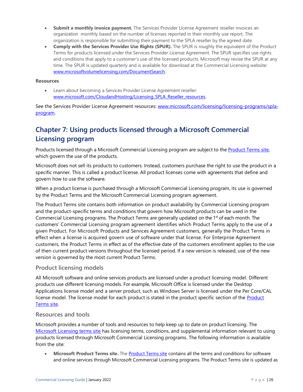- **Submit a monthly invoice payment.** The Services Provider License Agreement reseller invoices an organization monthly based on the number of licenses reported in their monthly use report. The organization is responsible for submitting their payment to the SPLA reseller by the agreed date.
- **Comply with the Services Provider Use Rights (SPUR).** The SPUR is roughly the equivalent of the Product Terms for products licensed under the Services Provider License Agreement. The SPUR specifies use rights and conditions that apply to a customer's use of the licensed products. Microsoft may revise the SPUR at any time. The SPUR is updated quarterly and is available for download at the Commercial Licensing website: [www.microsoftvolumelicensing.com/DocumentSearch.](https://www.microsoftvolumelicensing.com/DocumentSearch.aspx?Mode=3&DocumentTypeId=2)

#### **Resources**

Learn about becoming a Services Provider License Agreement reseller: www.microsoft.com/CloudandHosting/Licensing SPLA Reseller resources.

See the Services Provider License Agreement resources: [www.microsoft.com/licensing/licensing-programs/spla](https://www.microsoft.com/licensing/licensing-programs/spla-program)[program.](https://www.microsoft.com/licensing/licensing-programs/spla-program)

# <span id="page-26-0"></span>**Chapter 7: Using products licensed through a Microsoft Commercial Licensing program**

Products licensed through a Microsoft Commercial Licensing program are subject to the [Product Terms site,](https://www.microsoft.com/licensing/terms/productoffering) which govern the use of the products.

Microsoft does not sell its products to customers. Instead, customers purchase the right to use the product in a specific manner. This is called a product license. All product licenses come with agreements that define and govern how to use the software.

When a product license is purchased through a Microsoft Commercial Licensing program, its use is governed by the Product Terms and the Microsoft Commercial Licensing program agreement.

The Product Terms site contains both information on product availability by Commercial Licensing program and the product-specific terms and conditions that govern how Microsoft products can be used in the Commercial Licensing programs. The Product Terms are generally updated on the 1st of each month. The customers' Commercial Licensing program agreement identifies which Product Terms apply to the use of a given Product. For Microsoft Products and Services Agreement customers, generally the Product Terms in effect when a license is acquired govern use of software under that license. For Enterprise Agreement customers, the Product Terms in effect as of the effective date of the customers enrollment applies to the use of then current product versions throughout the licensed period. If a new version is released, use of the new version is governed by the most current Product Terms.

# <span id="page-26-1"></span>**Product licensing models**

All Microsoft software and online services products are licensed under a product licensing model. Different products use different licensing models. For example, Microsoft Office is licensed under the Desktop Applications license model and a server product, such as Windows Server is licensed under the Per Core/CAL license model. The license model for each product is stated in the product specific section of the [Product](https://www.microsoft.com/licensing/terms/productoffering)  [Terms site.](https://www.microsoft.com/licensing/terms/productoffering)

#### <span id="page-26-2"></span>**Resources and tools**

Microsoft provides a number of tools and resources to help keep up to date on product licensing. The [Microsoft Licensing terms site](https://www.microsoft.com/licensing/product-licensing/products) has licensing terms, conditions, and supplemental information relevant to using products licensed through Microsoft Commercial Licensing programs. The following information is available from the site:

• **Microsoft Product Terms site.** The [Product Terms site](https://www.microsoft.com/licensing/terms/productoffering) contains all the terms and conditions for software and online services through Microsoft Commercial Licensing programs. The Product Terms site is updated as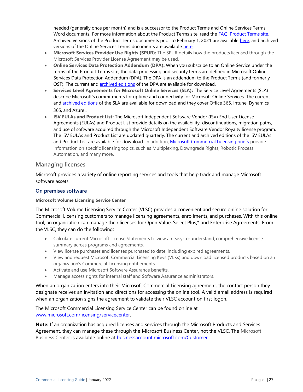needed (generally once per month) and is a successor to the Product Terms and Online Services Terms Word documents. For more information about the Product Terms site, read the [FAQ: Product Terms site.](https://download.microsoft.com/download/A/5/9/A599711B-6807-4757-B38D-1EE269F2F19B/Product_Terms_FAQ.pdf) Archived versions of the Product Terms documents prior to February 1, 2021 are available [here,](https://aka.ms/productterms) and archived versions of the Online Services Terms documents are available [here.](https://aka.ms/onlineservicesterms)

- **Microsoft Services Provider Use Rights (SPUR):** The SPUR details how the products licensed through the Microsoft Services Provider License Agreement may be used.
- **Online Services Data Protection Addendum (DPA):** When you subscribe to an Online Service under the terms of the Product Terms site, the data processing and security terms are defined in Microsoft Online Services Data Protection Addendum (DPA). The DPA is an addendum to the Product Terms (and formerly OST). The current and **[archived editions](https://www.microsoftvolumelicensing.com/DocumentSearch.aspx?Mode=3&DocumentTypeId=67)** of the DPA are available for download.
- **Services Level Agreements for Microsoft Online Services (SLA):** The Service Level Agreements (SLA) describe Microsoft's commitments for uptime and connectivity for Microsoft Online Services. The current and [archived editions](https://www.microsoftvolumelicensing.com/DocumentSearch.aspx?Mode=3&DocumentTypeId=37&ShowArchived=true) of the SLA are available for download and they cover Office 365, Intune, Dynamics 365, and Azure..
- **ISV EULAs and Product List:** The Microsoft Independent Software Vendor (ISV) End User License Agreements (EULAs) and Product List provide details on the availability, discontinuations, migration paths, and use of software acquired through the Microsoft Independent Software Vendor Royalty license program. The ISV EULAs and Product List are updated quarterly. The current and archived editions of the ISV EULAs and Product List are available for download. In addition, [Microsoft Commercial Licensing briefs](https://www.microsoft.com/Licensing/learn-more/volume-licensing-briefs) provide information on specific licensing topics, such as Multiplexing, Downgrade Rights, Robotic Process Automation, and many more.

# <span id="page-27-0"></span>**Managing licenses**

Microsoft provides a variety of online reporting services and tools that help track and manage Microsoft software assets.

# <span id="page-27-1"></span>**On premises software**

#### **Microsoft Volume Licensing Service Center**

The Microsoft Volume Licensing Service Center (VLSC) provides a convenient and secure online solution for Commercial Licensing customers to manage licensing agreements, enrollments, and purchases. With this online tool, an organization can manage their licenses for Open Value, Select Plus,\* and Enterprise Agreements. From the VLSC, they can do the following:

- Calculate current Microsoft License Statements to view an easy-to-understand, comprehensive license summary across programs and agreements.
- View license purchases and licenses purchased to date, including expired agreements.
- View and request Microsoft Commercial Licensing Keys (VLKs) and download licensed products based on an organization's Commercial Licensing entitlements.
- Activate and use Microsoft Software Assurance benefits.
- Manage access rights for internal staff and Software Assurance administrators.

When an organization enters into their Microsoft Commercial Licensing agreement, the contact person they designate receives an invitation and directions for accessing the online tool. A valid email address is required when an organization signs the agreement to validate their VLSC account on first logon.

The Microsoft Commercial Licensing Service Center can be found online at [www.microsoft.com/licensing/servicecenter.](https://www.microsoft.com/licensing/servicecenter)

**Note:** If an organization has acquired licenses and services through the Microsoft Products and Services Agreement, they can manage these through the Microsoft Business Center, not the VLSC. The Microsoft Business Center is available online at **businessaccount.microsoft.com/Customer.**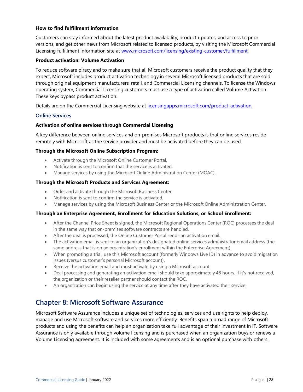#### **How to find fulfillment information**

Customers can stay informed about the latest product availability, product updates, and access to prior versions, and get other news from Microsoft related to licensed products, by visiting the Microsoft Commercial Licensing fulfillment information site at [www.microsoft.com/licensing/existing-customer/fulfillment.](https://www.microsoft.com/licensing/existing-customer/fulfillment)

#### **Product activation: Volume Activation**

To reduce software piracy and to make sure that all Microsoft customers receive the product quality that they expect, Microsoft includes product activation technology in several Microsoft licensed products that are sold through original equipment manufacturers, retail, and Commercial Licensing channels. To license the Windows operating system, Commercial Licensing customers must use a type of activation called Volume Activation. These keys bypass product activation.

Details are on the Commercial Licensing website at [licensingapps.microsoft.com/product-activation.](https://licensingapps.microsoft.com/product-activation)

#### <span id="page-28-0"></span>**Online Services**

#### **Activation of online services through Commercial Licensing**

A key difference between online services and on-premises Microsoft products is that online services reside remotely with Microsoft as the service provider and must be activated before they can be used.

#### **Through the Microsoft Online Subscription Program:**

- Activate through the Microsoft Online Customer Portal.
- Notification is sent to confirm that the service is activated.
- Manage services by using the Microsoft Online Administration Center (MOAC).

#### **Through the Microsoft Products and Services Agreement:**

- Order and activate through the Microsoft Business Center.
- Notification is sent to confirm the service is activated.
- Manage services by using the Microsoft Business Center or the Microsoft Online Administration Center.

#### **Through an Enterprise Agreement, Enrollment for Education Solutions, or School Enrollment:**

- After the Channel Price Sheet is signed, the Microsoft Regional Operations Center (ROC) processes the deal in the same way that on-premises software contracts are handled.
- After the deal is processed, the Online Customer Portal sends an activation email.
- The activation email is sent to an organization's designated online services administrator email address (the same address that is on an organization's enrollment within the Enterprise Agreement).
- When promoting a trial, use this Microsoft account (formerly Windows Live ID) in advance to avoid migration issues (versus customer's personal Microsoft account).
- Receive the activation email and must activate by using a Microsoft account.
- Deal processing and generating an activation email should take approximately 48 hours. If it's not received, the organization or their reseller partner should contact the ROC.
- An organization can begin using the service at any time after they have activated their service.

# <span id="page-28-1"></span>**Chapter 8: Microsoft Software Assurance**

Microsoft Software Assurance includes a unique set of technologies, services and use rights to help deploy, manage and use Microsoft software and services more efficiently. Benefits span a broad range of Microsoft products and using the benefits can help an organization take full advantage of their investment in IT. Software Assurance is only available through volume licensing and is purchased when an organization buys or renews a Volume Licensing agreement. It is included with some agreements and is an optional purchase with others.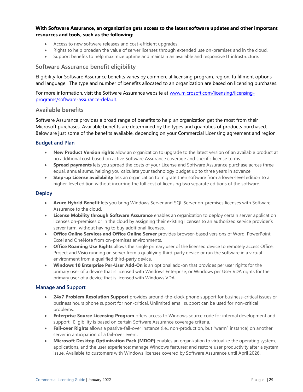#### **With Software Assurance, an organization gets access to the latest software updates and other important resources and tools, such as the following:**

- Access to new software releases and cost-efficient upgrades.
- Rights to help broaden the value of server licenses through extended use on-premises and in the cloud.
- Support benefits to help maximize uptime and maintain an available and responsive IT infrastructure.

#### <span id="page-29-0"></span>**Software Assurance benefit eligibility**

Eligibility for Software Assurance benefits varies by commercial licensing program, region, fulfillment options and language. The type and number of benefits allocated to an organization are based on licensing purchases.

For more information, visit the Software Assurance website at [www.microsoft.com/licensing/licensing](https://www.microsoft.com/licensing/licensing-programs/software-assurance-default)[programs/software-assurance-default.](https://www.microsoft.com/licensing/licensing-programs/software-assurance-default)

#### <span id="page-29-1"></span>**Available benefits**

Software Assurance provides a broad range of benefits to help an organization get the most from their Microsoft purchases. Available benefits are determined by the types and quantities of products purchased. Below are just some of the benefits available, depending on your Commercial Licensing agreement and region.

#### <span id="page-29-2"></span>**Budget and Plan**

- **New Product Version rights** allow an organization to upgrade to the latest version of an available product at no additional cost based on active Software Assurance coverage and specific license terms.
- **Spread payments** lets you spread the costs of your License and Software Assurance purchase across three equal, annual sums, helping you calculate your technology budget up to three years in advance.
- **Step-up License availability** lets an organization to migrate their software from a lower-level edition to a higher-level edition without incurring the full cost of licensing two separate editions of the software.

#### <span id="page-29-3"></span>**Deploy**

- **Azure Hybrid Benefit** lets you bring Windows Server and SQL Server on-premises licenses with Software Assurance to the cloud.
- **License Mobility through Software Assurance** enables an organization to deploy certain server application licenses on-premises or in the cloud by assigning their existing licenses to an authorized service provider's server farm, without having to buy additional licenses.
- **Office Online Services and Office Online Server** provides browser-based versions of Word, PowerPoint, Excel and OneNote from on-premises environments.
- **Office Roaming Use Rights** allows the single primary user of the licensed device to remotely access Office, Project and Visio running on server from a qualifying third-party device or run the software in a virtual environment from a qualified third-party device.
- **Windows 10 Enterprise Per-User Add-On** is an optional add-on that provides per user rights for the primary user of a device that is licensed with Windows Enterprise, or Windows per User VDA rights for the primary user of a device that is licensed with Windows VDA.

#### <span id="page-29-4"></span>**Manage and Support**

- **24x7 Problem Resolution Support** provides around-the-clock phone support for business-critical issues or business hours phone support for non-critical. Unlimited email support can be used for non-critical problems.
- **Enterprise Source Licensing Program** offers access to Windows source code for internal development and support. Eligibility is based on certain Software Assurance coverage criteria.
- **Fail-over Rights** allows a passive-fail-over instance (i.e., non-production, but "warm" instance) on another server in anticipation of a fail-over event.
- **Microsoft Desktop Optimization Pack (MDOP)** enables an organization to virtualize the operating system, applications, and the user experience; manage Windows features; and restore user productivity after a system issue. Available to customers with Windows licenses covered by Software Assurance until April 2026.